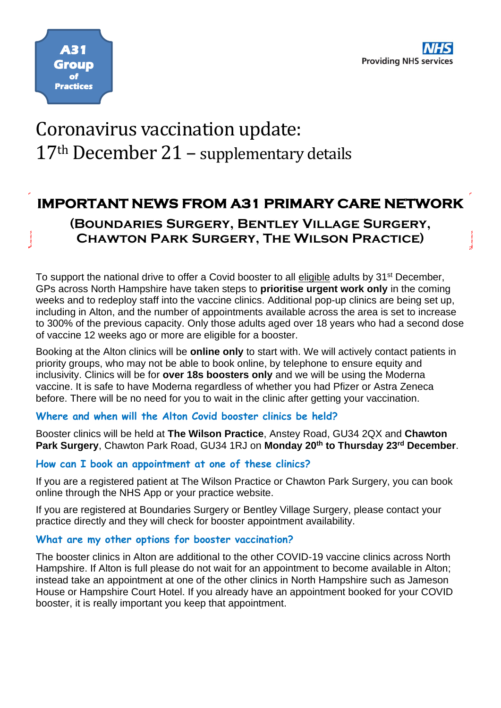



# Coronavirus vaccination update: 17th December 21 – supplementary details

# **IMPORTANT NEWS FROM A31 PRIMARY CARE NETWORK**

**(Boundaries Surgery, Bentley Village Surgery, Chawton Park Surgery, The Wilson Practice)**

To support the national drive to offer a Covid booster to all eligible adults by 31<sup>st</sup> December, GPs across North Hampshire have taken steps to **prioritise urgent work only** in the coming weeks and to redeploy staff into the vaccine clinics. Additional pop-up clinics are being set up, including in Alton, and the number of appointments available across the area is set to increase to 300% of the previous capacity. Only those adults aged over 18 years who had a second dose of vaccine 12 weeks ago or more are eligible for a booster.

Booking at the Alton clinics will be **online only** to start with. We will actively contact patients in priority groups, who may not be able to book online, by telephone to ensure equity and inclusivity. Clinics will be for **over 18s boosters only** and we will be using the Moderna vaccine. It is safe to have Moderna regardless of whether you had Pfizer or Astra Zeneca before. There will be no need for you to wait in the clinic after getting your vaccination.

# **Where and when will the Alton Covid booster clinics be held?**

Booster clinics will be held at **The Wilson Practice**, Anstey Road, GU34 2QX and **Chawton Park Surgery**, Chawton Park Road, GU34 1RJ on **Monday 20th to Thursday 23rd December**.

# **How can I book an appointment at one of these clinics?**

If you are a registered patient at The Wilson Practice or Chawton Park Surgery, you can book online through the NHS App or your practice website.

If you are registered at Boundaries Surgery or Bentley Village Surgery, please contact your practice directly and they will check for booster appointment availability.

# **What are my other options for booster vaccination?**

The booster clinics in Alton are additional to the other COVID-19 vaccine clinics across North Hampshire. If Alton is full please do not wait for an appointment to become available in Alton; instead take an appointment at one of the other clinics in North Hampshire such as Jameson House or Hampshire Court Hotel. If you already have an appointment booked for your COVID booster, it is really important you keep that appointment.